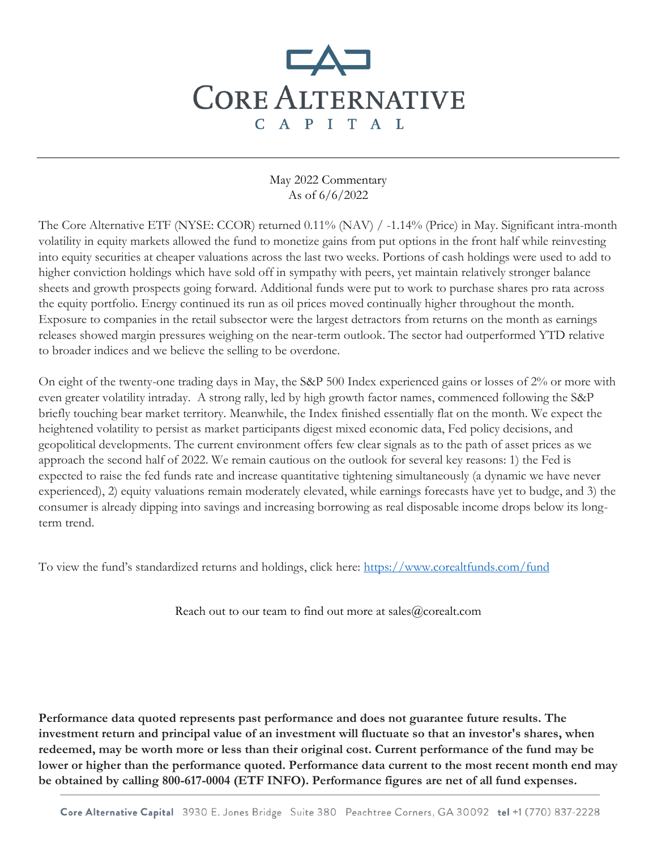## **CORE ALTERNATIVE** C A P I T A L

## May 2022 Commentary As of 6/6/2022

The Core Alternative ETF (NYSE: CCOR) returned 0.11% (NAV) / -1.14% (Price) in May. Significant intra-month volatility in equity markets allowed the fund to monetize gains from put options in the front half while reinvesting into equity securities at cheaper valuations across the last two weeks. Portions of cash holdings were used to add to higher conviction holdings which have sold off in sympathy with peers, yet maintain relatively stronger balance sheets and growth prospects going forward. Additional funds were put to work to purchase shares pro rata across the equity portfolio. Energy continued its run as oil prices moved continually higher throughout the month. Exposure to companies in the retail subsector were the largest detractors from returns on the month as earnings releases showed margin pressures weighing on the near-term outlook. The sector had outperformed YTD relative to broader indices and we believe the selling to be overdone.

On eight of the twenty-one trading days in May, the S&P 500 Index experienced gains or losses of 2% or more with even greater volatility intraday. A strong rally, led by high growth factor names, commenced following the S&P briefly touching bear market territory. Meanwhile, the Index finished essentially flat on the month. We expect the heightened volatility to persist as market participants digest mixed economic data, Fed policy decisions, and geopolitical developments. The current environment offers few clear signals as to the path of asset prices as we approach the second half of 2022. We remain cautious on the outlook for several key reasons: 1) the Fed is expected to raise the fed funds rate and increase quantitative tightening simultaneously (a dynamic we have never experienced), 2) equity valuations remain moderately elevated, while earnings forecasts have yet to budge, and 3) the consumer is already dipping into savings and increasing borrowing as real disposable income drops below its longterm trend.

To view the fund's standardized returns and holdings, click here: <https://www.corealtfunds.com/fund>

Reach out to our team to find out more at sales@corealt.com

**Performance data quoted represents past performance and does not guarantee future results. The investment return and principal value of an investment will fluctuate so that an investor's shares, when redeemed, may be worth more or less than their original cost. Current performance of the fund may be lower or higher than the performance quoted. Performance data current to the most recent month end may be obtained by calling 800-617-0004 (ETF INFO). Performance figures are net of all fund expenses.**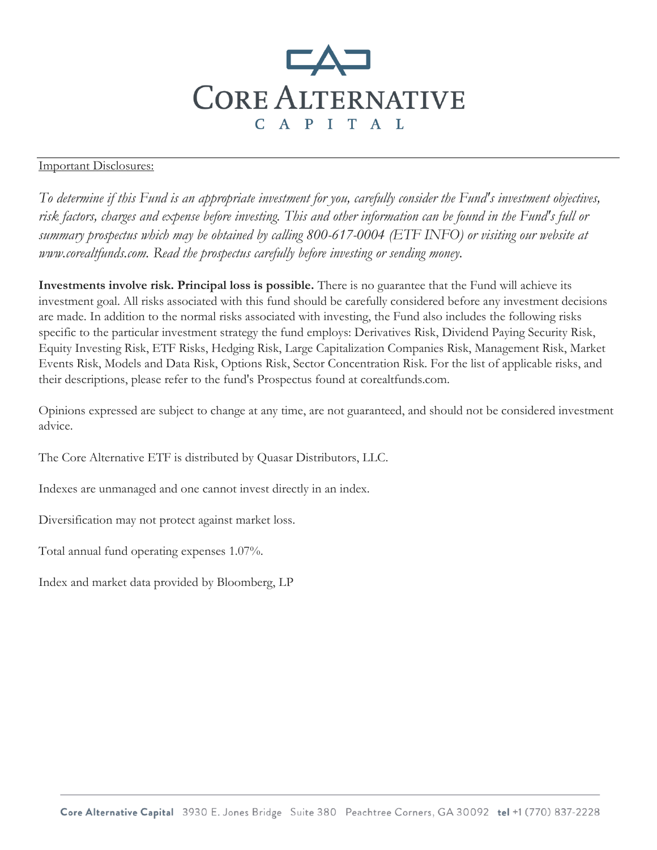

## Important Disclosures:

*To determine if this Fund is an appropriate investment for you, carefully consider the Fund's investment objectives, risk factors, charges and expense before investing. This and other information can be found in the Fund's full or summary prospectus which may be obtained by calling 800-617-0004 (ETF INFO) or visiting our website at www.corealtfunds.com. Read the prospectus carefully before investing or sending money.* 

**Investments involve risk. Principal loss is possible.** There is no guarantee that the Fund will achieve its investment goal. All risks associated with this fund should be carefully considered before any investment decisions are made. In addition to the normal risks associated with investing, the Fund also includes the following risks specific to the particular investment strategy the fund employs: Derivatives Risk, Dividend Paying Security Risk, Equity Investing Risk, ETF Risks, Hedging Risk, Large Capitalization Companies Risk, Management Risk, Market Events Risk, Models and Data Risk, Options Risk, Sector Concentration Risk. For the list of applicable risks, and their descriptions, please refer to the fund's Prospectus found at corealtfunds.com.

Opinions expressed are subject to change at any time, are not guaranteed, and should not be considered investment advice.

The Core Alternative ETF is distributed by Quasar Distributors, LLC.

Indexes are unmanaged and one cannot invest directly in an index.

Diversification may not protect against market loss.

Total annual fund operating expenses 1.07%.

Index and market data provided by Bloomberg, LP